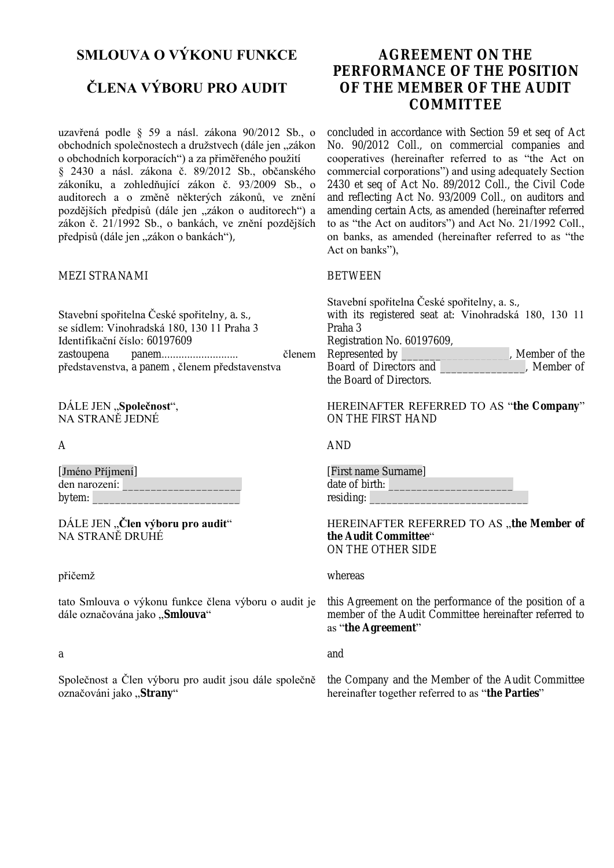# **SMLOUVA O VÝKONU FUNKCE**

# **ČLENA VÝBORU PRO AUDIT**

uzavřená podle § 59 a násl. zákona 90/2012 Sb., o obchodních společnostech a družstvech (dále jen "zákon o obchodních korporacích") a za přiměřeného použití § 2430 a násl. zákona č. 89/2012 Sb., občanského zákoníku, a zohledňující zákon č. 93/2009 Sb., o auditorech a o změně některých zákonů, ve znění pozdějších předpisů (dále jen "zákon o auditorech") a zákon č. 21/1992 Sb., o bankách, ve znění pozdějších předpisů (dále jen "zákon o bankách"),

#### MEZI STRANAMI

Stavební spořitelna České spořitelny, a. s., se sídlem: Vinohradská 180, 130 11 Praha 3 Identifikační číslo: 60197609 zastoupena panem........................... členem představenstva, a panem , členem představenstva

DÁLE JEN "Společnost", NA STRANĚ JEDNÉ

A

[Jméno Příjmení] den narození: bytem:

DÁLE JEN "Člen výboru pro audit" NA STRANĚ DRUHÉ

#### přičemž

tato Smlouva o výkonu funkce člena výboru o audit je dále označována jako "**Smlouva**"

#### a

Společnost a Člen výboru pro audit jsou dále společně označováni jako "Strany"

# **AGREEMENT ON THE PERFORMANCE OF THE POSITION OF THE MEMBER OF THE AUDIT COMMITTEE**

concluded in accordance with Section 59 et seq of Act No. 90/2012 Coll., on commercial companies and cooperatives (hereinafter referred to as "the Act on commercial corporations") and using adequately Section 2430 et seq of Act No. 89/2012 Coll., the Civil Code and reflecting Act No. 93/2009 Coll., on auditors and amending certain Acts, as amended (hereinafter referred to as "the Act on auditors") and Act No. 21/1992 Coll., on banks, as amended (hereinafter referred to as "the Act on banks"),

#### BETWEEN

Stavební spořitelna České spořitelny, a. s., with its registered seat at: Vinohradská 180, 130 11 Praha 3 Registration No. 60197609, Represented by \_\_\_\_\_\_\_\_\_\_\_\_\_\_\_\_\_\_\_\_\_, Member of the<br>Board of Directors and , Member of  $B^{\text{max}}$ , Member of the Board of Directors.

HEREINAFTER REFERRED TO AS "**the Company**" ON THE FIRST HAND

AND

[First name Surname] date of birth: residing:

#### HEREINAFTER REFERRED TO AS "the Member of **the A udit Committee**" ON THE OTHER SIDE

#### whereas

this Agreement on the performance of the position of a member of the Audit Committee hereinafter referred to as "**the Agreement**"

#### and

the Company and the Member of the Audit Committee hereinafter together referred to as "**the Parties**"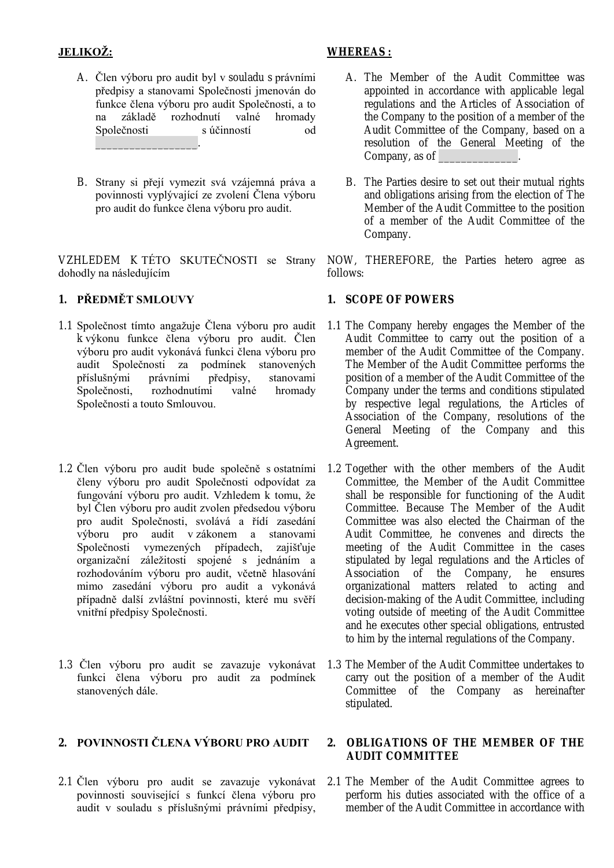### **JELIKOŽ:**

- A. Člen výboru pro audit byl v souladu s právními předpisy a stanovami Společnosti jmenován do funkce člena výboru pro audit Společnosti, a to na základě rozhodnutí valné hromady hromady hromady hromady hromady hromady hromady hromady hromady hromady hr<br>
hromady hromady hromady hromady hromady hromady hromady hromady hromady hromady hromady hromady hromady hromad Společnosti s účinností od \_\_\_\_\_\_\_\_\_\_\_\_\_\_\_\_\_\_.
- B. Strany si přejí vymezit svá vzájemná práva a povinnosti vyplývající ze zvolení Člena výboru pro audit do funkce člena výboru pro audit.

V ZHLEDEM K TÉTO SKUTEČNOSTI se Strany dohodly na následujícím

## **1. PŘEDMĚT SMLOUVY**

- 1.1 Společnost tímto angažuje Člena výboru pro audit k výkonu funkce člena výboru pro audit. Člen výboru pro audit vykonává funkci člena výboru pro audit Společnosti za podmínek stanovených<br>příslušnými právními předpisy, stanovami příslušnými<br>Společnosti rozhodnutími valné hromady Společnosti a touto Smlouvou.
- 1.2 Člen výboru pro audit bude společně s ostatními členy výboru pro audit Společnosti odpovídat za fungování výboru pro audit. Vzhledem k tomu, že byl Člen výboru pro audit zvolen předsedou výboru pro audit Společnosti, svolává a řídí zasedání výboru pro audit v zákonem a stanovami Společnosti vymezených případech, zajišťuje organizační záležitosti spojené s jednáním a rozhodováním výboru pro audit, včetně hlasování mimo zasedání výboru pro audit a vykonává případně další zvláštní povinnosti, které mu svěří vnitřní předpisy Společnosti.
- 1.3 Člen výboru pro audit se zavazuje vykonávat funkci člena výboru pro audit za podmínek stanovených dále.

## **2. POVINNOSTI ČLENA VÝBORU PRO AUDIT**

2.1 Člen výboru pro audit se zavazuje vykonávat povinnosti související s funkcí člena výboru pro audit v souladu s příslušnými právními předpisy,

#### **WHEREAS:**

- A. The Member of the Audit Committee was appointed in accordance with applicable legal regulations and the Articles of Association of the Company to the position of a member of the Audit Committee of the Company, based on a resolution of the General Meeting of the Company, as of \_\_\_\_\_\_\_\_\_\_\_\_\_.
- B. The Parties desire to set out their mutual rights and obligations arising from the election of The Member of the Audit Committee to the position of a member of the Audit Committee of the Company.

NOW, THEREFORE, the Parties hetero agree as follows:

#### **1. SCOPE OF POW ERS**

- 1.1 The Company hereby engages the Member of the Audit Committee to carry out the position of a member of the Audit Committee of the Company. The Member of the Audit Committee performs the position of a member of the Audit Committee of the Company under the terms and conditions stipulated by respective legal regulations, the Articles of Association of the Company, resolutions of the General Meeting of the Company and this Agreement.
- 1.2 Together with the other members of the Audit Committee, the Member of the Audit Committee shall be responsible for functioning of the Audit Committee. Because The Member of the Audit Committee was also elected the Chairman of the Audit Committee, he convenes and directs the meeting of the Audit Committee in the cases stipulated by legal regulations and the Articles of Association of the Company, he ensures organizational matters related to acting and decision-making of the Audit Committee, including voting outside of meeting of the Audit Committee and he executes other special obligations, entrusted to him by the internal regulations of the Company.
- 1.3 The Member of the Audit Committee undertakes to carry out the position of a member of the Audit Committee of the Company as hereinafter stipulated.

#### **2. OBL IGA TIONS OF THE MEMBER OF THE AUDIT COMMITTEE**

2.1 The Member of the Audit Committee agrees to perform his duties associated with the office of a member of the Audit Committee in accordance with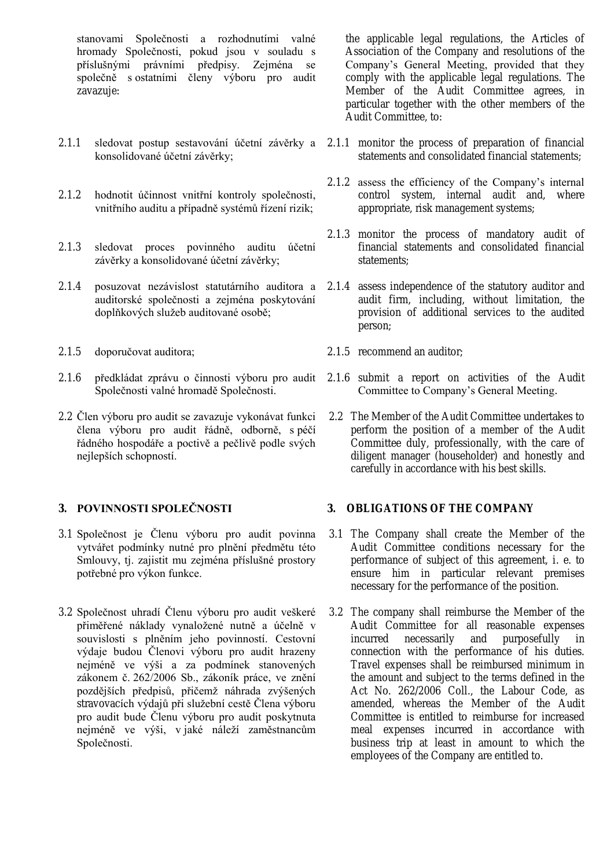stanovami Společnosti a rozhodnutími valné hromady Společnosti, pokud jsou v souladu s příslušnými právními předpisy. Zejména se společně s ostatními členy výboru pro audit zavazuje:

- 2.1.1 sledovat postup sestavování účetní závěrky a 2.1.1 monitor the process of preparation of financial konsolidované účetní závěrky;
- 2.1.2 hodnotit účinnost vnitřní kontroly společnosti, vnitřního auditu a případně systémů řízení rizik;
- 2.1.3 sledovat proces povinného auditu účetní závěrky a konsolidované účetní závěrky;
- 2.1.4 posuzovat nezávislost statutárního auditora a auditorské společnosti a zejména poskytování doplňkových služeb auditované osobě;
- 2.1.5 doporučovat auditora;
- 2.1.6 předkládat zprávu o činnosti výboru pro audit Společnosti valné hromadě Společnosti.
- 2.2 Člen výboru pro audit se zavazuje vykonávat funkci člena výboru pro audit řádně, odborně, s péčí řádného hospodáře a poctivě a pečlivě podle svých nejlepších schopností.

## **3. POVINNOSTI SPOLEČNOSTI**

- 3.1 Společnost je Členu výboru pro audit povinna vytvářet podmínky nutné pro plnění předmětu této Smlouvy, tj. zajistit mu zejména příslušné prostory potřebné pro výkon funkce.
- 3.2 Společnost uhradí Členu výboru pro audit veškeré přiměřené náklady vynaložené nutně a účelně v souvislosti s plněním jeho povinností. Cestovní výdaje budou Členovi výboru pro audit hrazeny nejméně ve výši a za podmínek stanovených zákonem č. 262/2006 Sb., zákoník práce, ve znění pozdějších předpisů, přičemž náhrada zvýšených stravovacích výdajů při služební cestě Člena výboru pro audit bude Členu výboru pro audit poskytnuta nejméně ve výši, v jaké náleží zaměstnancům Společnosti.

the applicable legal regulations, the Articles of Association of the Company and resolutions of the Company's General Meeting, provided that they comply with the applicable legal regulations. The Member of the Audit Committee agrees, in particular together with the other members of the Audit Committee, to:

- statements and consolidated financial statements;
- 2.1.2 assess the efficiency of the Company's internal control system, internal audit and, where appropriate, risk management systems;
- 2.1.3 monitor the process of mandatory audit of financial statements and consolidated financial statements;
- 2.1.4 assess independence of the statutory auditor and audit firm, including, without limitation, the provision of additional services to the audited person;
- 2.1.5 recommend an auditor;
- 2.1.6 submit a report on activities of the Audit Committee to Company's General Meeting.
- 2.2 The Member of the Audit Committee undertakes to perform the position of a member of the Audit Committee duly, professionally, with the care of diligent manager (householder) and honestly and carefully in accordance with his best skills.

#### **3. OBL IGA TIONS OF THE COMPANY**

- 3.1 The Company shall create the Member of the Audit Committee conditions necessary for the performance of subject of this agreement, i. e. to ensure him in particular relevant premises necessary for the performance of the position.
- 3.2 The company shall reimburse the Member of the Audit Committee for all reasonable expenses incurred necessarily and purposefully in connection with the performance of his duties. Travel expenses shall be reimbursed minimum in the amount and subject to the terms defined in the Act No. 262/2006 Coll., the Labour Code, as amended, whereas the Member of the Audit Committee is entitled to reimburse for increased meal expenses incurred in accordance with business trip at least in amount to which the employees of the Company are entitled to.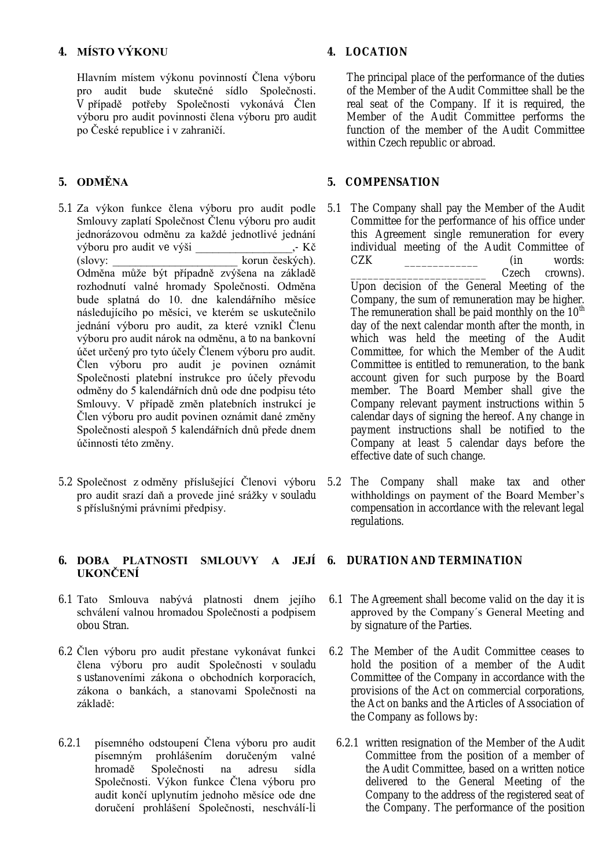## **4. MÍSTO VÝKONU**

Hlavním místem výkonu povinností Člena výboru pro audit bude skutečné sídlo Společnosti. V případě potřeby Společnosti vykonává Člen výboru pro audit povinnosti člena výboru pro audit po České republice i v zahraničí.

## **5. ODMĚNA**

- 5.1 Za výkon funkce člena výboru pro audit podle Smlouvy zaplatí Společnost Členu výboru pro audit jednorázovou odměnu za každé jednotlivé jednání výboru pro audit ve výši \_\_\_\_\_\_\_\_\_\_\_\_\_\_\_\_\_,- Kč (slovy: \_\_\_\_\_\_\_\_\_\_\_\_\_\_\_\_\_\_\_\_\_\_ korun českých). Odměna může být případně zvýšena na základě rozhodnutí valné hromady Společnosti. Odměna bude splatná do 10. dne kalendářního měsíce následujícího po měsíci, ve kterém se uskutečnilo jednání výboru pro audit, za které vznikl Členu výboru pro audit nárok na odměnu, a to na bankovní účet určený pro tyto účely Členem výboru pro audit. Člen výboru pro audit je povinen oznámit Společnosti platební instrukce pro účely převodu odměny do 5 kalendářních dnů ode dne podpisu této Smlouvy. V případě změn platebních instrukcí je Člen výboru pro audit povinen oznámit dané změny Společnosti alespoň 5 kalendářních dnů přede dnem účinnosti této změny.
- 5.2 Společnost z odměny příslušející Členovi výboru pro audit srazí daň a provede jiné srážky v souladu s příslušnými právními předpisy.

#### **6. DOBA PLATNOSTI SMLOUVY A JEJÍ 6. DURATION AND TERMINATION UKONČENÍ**

- 6.1 Tato Smlouva nabývá platnosti dnem jejího schválení valnou hromadou Společnosti a podpisem obou Stran.
- 6.2 Člen výboru pro audit přestane vykonávat funkci člena výboru pro audit Společnosti v souladu s ustanoveními zákona o obchodních korporacích, zákona o bankách, a stanovami Společnosti na základě:
- 6.2.1 písemného odstoupení Člena výboru pro audit písemným prohlášením doručeným valné hromadě Společnosti na adresu sídla Společnosti. Výkon funkce Člena výboru pro audit končí uplynutím jednoho měsíce ode dne doručení prohlášení Společnosti, neschválí-li

## **4. LOCA TION**

The principal place of the performance of the duties of the Member of the Audit Committee shall be the real seat of the Company. If it is required, the Member of the Audit Committee performs the function of the member of the Audit Committee within Czech republic or abroad.

## **5. COMPENSA TION**

- 5.1 The Company shall pay the Member of the Audit Committee for the performance of his office under this Agreement single remuneration for every individual meeting of the Audit Committee of  $CZK$   $\qquad \qquad \text{(in}$  words: Czech crowns). Upon decision of the General Meeting of the Company, the sum of remuneration may be higher. The remuneration shall be paid monthly on the  $10<sup>th</sup>$ day of the next calendar month after the month, in which was held the meeting of the Audit Committee, for which the Member of the Audit Committee is entitled to remuneration, to the bank account given for such purpose by the Board member. The Board Member shall give the Company relevant payment instructions within 5 calendar days of signing the hereof. Any change in payment instructions shall be notified to the Company at least 5 calendar days before the effective date of such change.
- 5.2 The Company shall make tax and other withholdings on payment of the Board Member's compensation in accordance with the relevant legal regulations.

- 6.1 The Agreement shall become valid on the day it is approved by the Company´s General Meeting and by signature of the Parties.
- 6.2 The Member of the Audit Committee ceases to hold the position of a member of the Audit Committee of the Company in accordance with the provisions of the Act on commercial corporations, the Act on banks and the Articles of Association of the Company as follows by:
	- 6.2.1 written resignation of the Member of the Audit Committee from the position of a member of the Audit Committee, based on a written notice delivered to the General Meeting of the Company to the address of the registered seat of the Company. The performance of the position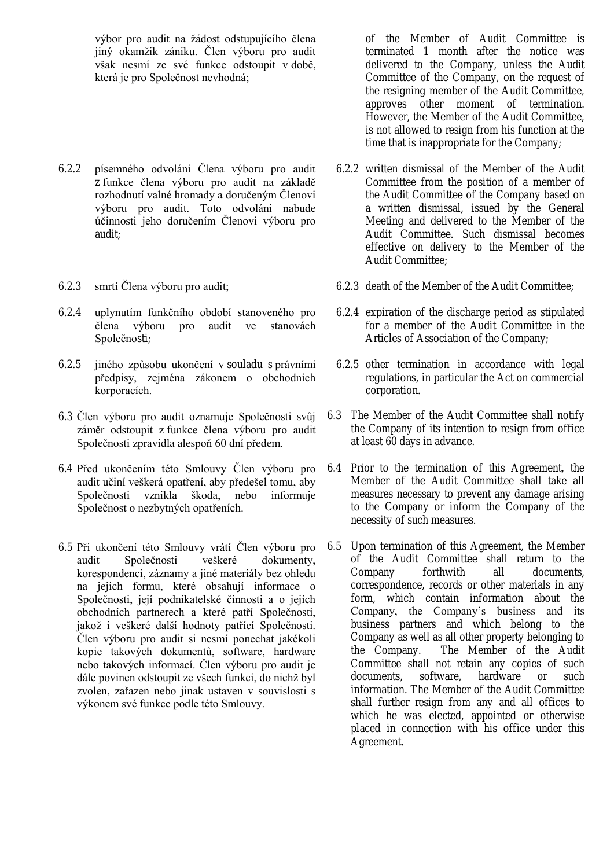výbor pro audit na žádost odstupujícího člena jiný okamžik zániku. Člen výboru pro audit však nesmí ze své funkce odstoupit v době, která je pro Společnost nevhodná;

- 6.2.2 písemného odvolání Člena výboru pro audit z funkce člena výboru pro audit na základě rozhodnutí valné hromady a doručeným Členovi výboru pro audit. Toto odvolání nabude účinnosti jeho doručením Členovi výboru pro audit;
- 6.2.3 smrtí Člena výboru pro audit;
- 6.2.4 uplynutím funkčního období stanoveného pro člena výboru pro audit ve stanovách Společnosti;
- 6.2.5 jiného způsobu ukončení v souladu s právními předpisy, zejména zákonem o obchodních korporacích.
- 6.3 Člen výboru pro audit oznamuje Společnosti svůj záměr odstoupit z funkce člena výboru pro audit Společnosti zpravidla alespoň 60 dní předem.
- 6.4 Před ukončením této Smlouvy Člen výboru pro audit učiní veškerá opatření, aby předešel tomu, aby Společnosti vznikla škoda, nebo informuje Společnost o nezbytných opatřeních.
- 6.5 Při ukončení této Smlouvy vrátí Člen výboru pro audit Společnosti veškeré dokumenty, korespondenci, záznamy a jiné materiály bez ohledu na jejich formu, které obsahují informace o Společnosti, její podnikatelské činnosti a o jejích obchodních partnerech a které patří Společnosti, jakož i veškeré další hodnoty patřící Společnosti. Člen výboru pro audit si nesmí ponechat jakékoli kopie takových dokumentů, software, hardware nebo takových informací. Člen výboru pro audit je dále povinen odstoupit ze všech funkcí, do nichž byl zvolen, zařazen nebo jinak ustaven v souvislosti s výkonem své funkce podle této Smlouvy.

of the Member of Audit Committee is terminated 1 month after the notice was delivered to the Company, unless the Audit Committee of the Company, on the request of the resigning member of the Audit Committee, approves other moment of termination. However, the Member of the Audit Committee, is not allowed to resign from his function at the time that is inappropriate for the Company;

- 6.2.2 written dismissal of the Member of the Audit Committee from the position of a member of the Audit Committee of the Company based on a written dismissal, issued by the General Meeting and delivered to the Member of the Audit Committee. Such dismissal becomes effective on delivery to the Member of the Audit Committee;
- 6.2.3 death of the Member of the Audit Committee;
- 6.2.4 expiration of the discharge period as stipulated for a member of the Audit Committee in the Articles of Association of the Company;
- 6.2.5 other termination in accordance with legal regulations, in particular the Act on commercial corporation.
- 6.3 The Member of the Audit Committee shall notify the Company of its intention to resign from office at least 60 days in advance.
- 6.4 Prior to the termination of this Agreement, the Member of the Audit Committee shall take all measures necessary to prevent any damage arising to the Company or inform the Company of the necessity of such measures.
- 6.5 Upon termination of this Agreement, the Member of the Audit Committee shall return to the Company forthwith all documents, correspondence, records or other materials in any form, which contain information about the Company, the Company's business and its business partners and which belong to the Company as well as all other property belonging to<br>the Company. The Member of the Audit The Member of the Audit Committee shall not retain any copies of such documents, software, hardware or such information. The Member of the Audit Committee shall further resign from any and all offices to which he was elected, appointed or otherwise placed in connection with his office under this Agreement.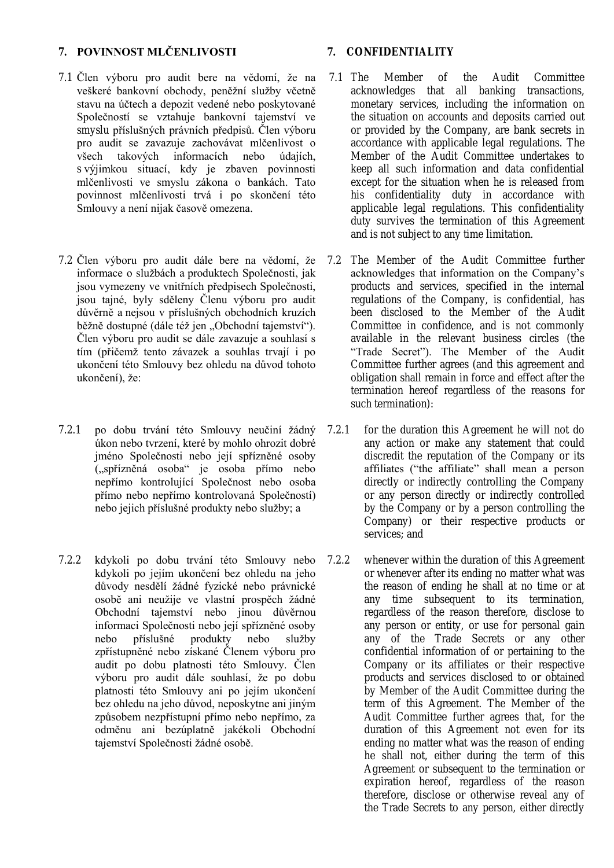## **7. POVINNOST MLČENLIVOSTI**

- 7.1 Člen výboru pro audit bere na vědomí, že na veškeré bankovní obchody, peněžní služby včetně stavu na účtech a depozit vedené nebo poskytované Společností se vztahuje bankovní tajemství ve smyslu příslušných právních předpisů. Člen výboru pro audit se zavazuje zachovávat mlčenlivost o všech takových informacích nebo údajích, s výjimkou situací, kdy je zbaven povinnosti mlčenlivosti ve smyslu zákona o bankách. Tato povinnost mlčenlivosti trvá i po skončení této Smlouvy a není nijak časově omezena.
- 7.2 Člen výboru pro audit dále bere na vědomí, že informace o službách a produktech Společnosti, jak jsou vymezeny ve vnitřních předpisech Společnosti, jsou tajné, byly sděleny Členu výboru pro audit důvěrně a nejsou v příslušných obchodních kruzích běžně dostupné (dále též jen "Obchodní tajemství"). Člen výboru pro audit se dále zavazuje a souhlasí s tím (přičemž tento závazek a souhlas trvají i po ukončení této Smlouvy bez ohledu na důvod tohoto ukončení), že:
- 7.2.1 po dobu trvání této Smlouvy neučiní žádný úkon nebo tvrzení, které by mohlo ohrozit dobré jméno Společnosti nebo její spřízněné osoby ("spřízněná osoba" je osoba přímo nebo nepřímo kontrolující Společnost nebo osoba přímo nebo nepřímo kontrolovaná Společností) nebo jejich příslušné produkty nebo služby; a
- 7.2.2 kdykoli po dobu trvání této Smlouvy nebo kdykoli po jejím ukončení bez ohledu na jeho důvody nesdělí žádné fyzické nebo právnické osobě ani neužije ve vlastní prospěch žádné Obchodní tajemství nebo jinou důvěrnou informaci Společnosti nebo její spřízněné osoby nebo příslušné produkty nebo služby zpřístupněné nebo získané Členem výboru pro audit po dobu platnosti této Smlouvy. Člen výboru pro audit dále souhlasí, že po dobu platnosti této Smlouvy ani po jejím ukončení bez ohledu na jeho důvod, neposkytne ani jiným způsobem nezpřístupní přímo nebo nepřímo, za odměnu ani bezúplatně jakékoli Obchodní tajemství Společnosti žádné osobě.

#### **7. CONFIDENTIA L ITY**

- 7.1 The Member of the Audit Committee acknowledges that all banking transactions, monetary services, including the information on the situation on accounts and deposits carried out or provided by the Company, are bank secrets in accordance with applicable legal regulations. The Member of the Audit Committee undertakes to keep all such information and data confidential except for the situation when he is released from his confidentiality duty in accordance with applicable legal regulations. This confidentiality duty survives the termination of this Agreement and is not subject to any time limitation.
- 7.2 The Member of the Audit Committee further acknowledges that information on the Company's products and services, specified in the internal regulations of the Company, is confidential, has been disclosed to the Member of the Audit Committee in confidence, and is not commonly available in the relevant business circles (the "Trade Secret"). The Member of the Audit Committee further agrees (and this agreement and obligation shall remain in force and effect after the termination hereof regardless of the reasons for such termination):
- 7.2.1 for the duration this Agreement he will not do any action or make any statement that could discredit the reputation of the Company or its affiliates ("the affiliate" shall mean a person directly or indirectly controlling the Company or any person directly or indirectly controlled by the Company or by a person controlling the Company) or their respective products or services; and
	- whenever within the duration of this Agreement or whenever after its ending no matter what was the reason of ending he shall at no time or at any time subsequent to its termination, regardless of the reason therefore, disclose to any person or entity, or use for personal gain any of the Trade Secrets or any other confidential information of or pertaining to the Company or its affiliates or their respective products and services disclosed to or obtained by Member of the Audit Committee during the term of this Agreement. The Member of the Audit Committee further agrees that, for the duration of this Agreement not even for its ending no matter what was the reason of ending he shall not, either during the term of this Agreement or subsequent to the termination or expiration hereof, regardless of the reason therefore, disclose or otherwise reveal any of the Trade Secrets to any person, either directly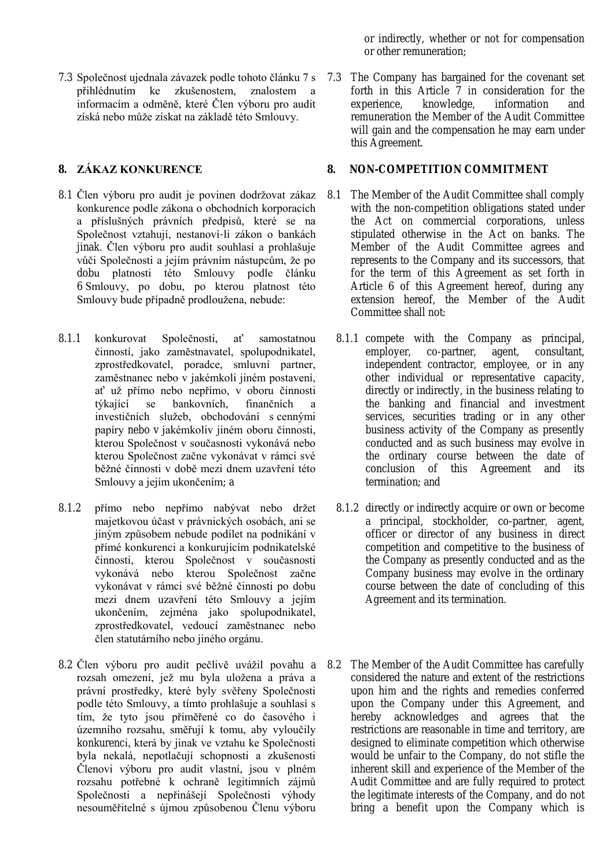7.3 Společnost ujednala závazek podle tohoto článku 7 s přihlédnutím ke zkušenostem, znalostem a informacím a odměně, které Člen výboru pro audit získá nebo může získat na základě této Smlouvy.

#### **8. ZÁKAZ KONKURENCE**

- 8.1 Člen výboru pro audit je povinen dodržovat zákaz konkurence podle zákona o obchodních korporacích a příslušných právních předpisů, které se na Společnost vztahují, nestanoví-li zákon o bankách jinak. Člen výboru pro audit souhlasí a prohlašuje vůči Společnosti a jejím právním nástupcům, že po dobu platnosti této Smlouvy podle článku 6 Smlouvy, po dobu, po kterou platnost této Smlouvy bude případně prodloužena, nebude:
- 8.1.1 konkurovat Společnosti, ať samostatnou činností, jako zaměstnavatel, spolupodnikatel, zprostředkovatel, poradce, smluvní partner, zaměstnanec nebo v jakémkoli jiném postavení, ať už přímo nebo nepřímo, v oboru činnosti<br>týkající se bankovních, finančních a se bankovních, finančních a investičních služeb, obchodování s cennými papíry nebo v jakémkoliv jiném oboru činnosti, kterou Společnost v současnosti vykonává nebo kterou Společnost začne vykonávat v rámci své běžné činnosti v době mezi dnem uzavření této Smlouvy a jejím ukončením; a
- 8.1.2 přímo nebo nepřímo nabývat nebo držet majetkovou účast v právnických osobách, ani se jiným způsobem nebude podílet na podnikání v přímé konkurenci a konkurujícím podnikatelské činnosti, kterou Společnost v současnosti vykonává nebo kterou Společnost začne vykonávat v rámci své běžné činnosti po dobu mezi dnem uzavření této Smlouvy a jejím ukončením, zejména jako spolupodnikatel, zprostředkovatel, vedoucí zaměstnanec nebo člen statutárního nebo jiného orgánu.
- 8.2 Člen výboru pro audit pečlivě uvážil povahu a rozsah omezení, jež mu byla uložena a práva a právní prostředky, které byly svěřeny Společnosti podle této Smlouvy, a tímto prohlašuje a souhlasí s tím, že tyto jsou přiměřené co do časového i územního rozsahu, směřují k tomu, aby vyloučily konkurenci, která by jinak ve vztahu ke Společnosti byla nekalá, nepotlačují schopnosti a zkušenosti Členovi výboru pro audit vlastní, jsou v plném rozsahu potřebné k ochraně legitimních zájmů Společnosti a nepřinášejí Společnosti výhody nesouměřitelné s újmou způsobenou Členu výboru

or indirectly, whether or not for compensation or other remuneration;

7.3 The Company has bargained for the covenant set forth in this Article 7 in consideration for the experience. knowledge. information and knowledge. remuneration the Member of the Audit Committee will gain and the compensation he may earn under this Agreement.

#### **8. NON-COMPETITION COMMITMENT**

- 8.1 The Member of the Audit Committee shall comply with the non-competition obligations stated under the Act on commercial corporations, unless stipulated otherwise in the Act on banks. The Member of the Audit Committee agrees and represents to the Company and its successors, that for the term of this Agreement as set forth in Article 6 of this Agreement hereof, during any extension hereof, the Member of the Audit Committee shall not:
	- 8.1.1 compete with the Company as principal, employer, co-partner, agent, consultant, independent contractor, employee, or in any other individual or representative capacity, directly or indirectly, in the business relating to the banking and financial and investment services, securities trading or in any other business activity of the Company as presently conducted and as such business may evolve in the ordinary course between the date of conclusion of this Agreement and its termination; and
	- 8.1.2 directly or indirectly acquire or own or become a principal, stockholder, co-partner, agent, officer or director of any business in direct competition and competitive to the business of the Company as presently conducted and as the Company business may evolve in the ordinary course between the date of concluding of this Agreement and its termination.
- 8.2 The Member of the A udit Committee has carefully considered the nature and extent of the restrictions upon him and the rights and remedies conferred upon the Company under this Agreement, and hereby acknowledges and agrees that the restrictions are reasonable in time and territory, are designed to eliminate competition which otherwise would be unfair to the Company, do not stifle the inherent skill and experience of the Member of the Audit Committee and are fully required to protect the legitimate interests of the Company, and do not bring a benefit upon the Company which is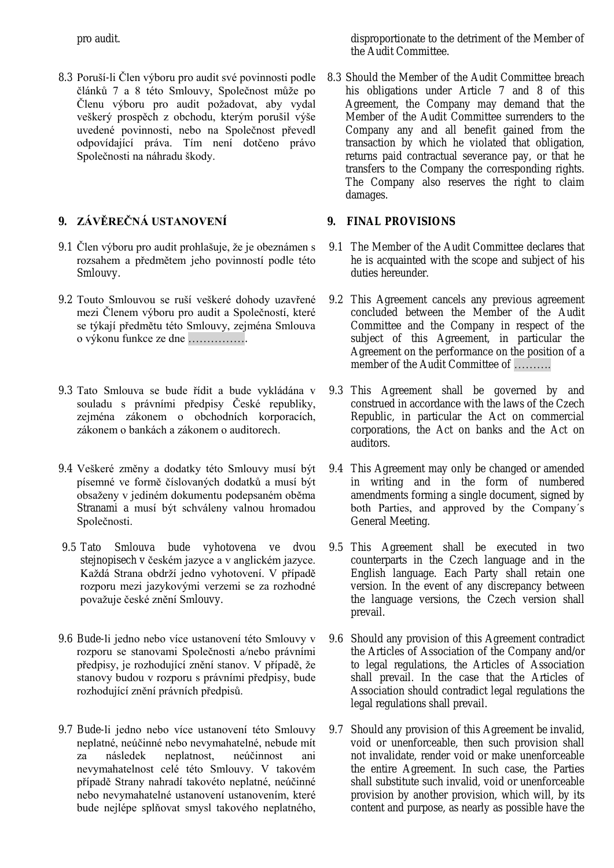pro audit.

8.3 Poruší-li Člen výboru pro audit své povinnosti podle článků 7 a 8 této Smlouvy, Společnost může po Členu výboru pro audit požadovat, aby vydal veškerý prospěch z obchodu, kterým porušil výše uvedené povinnosti, nebo na Společnost převedl odpovídající práva. Tím není dotčeno právo Společnosti na náhradu škody.

## **9. ZÁVĚREČNÁ USTANOVENÍ**

- 9.1 Člen výboru pro audit prohlašuje, že je obeznámen s rozsahem a předmětem jeho povinností podle této Smlouvy.
- 9.2 Touto Smlouvou se ruší veškeré dohody uzavřené mezi Členem výboru pro audit a Společností, které se týkají předmětu této Smlouvy, zejména Smlouva o výkonu funkce ze dne …………….
- 9.3 Tato Smlouva se bude řídit a bude vykládána v souladu s právními předpisy České republiky, zejména zákonem o obchodních korporacích, zákonem o bankách a zákonem o auditorech.
- 9.4 Veškeré změny a dodatky této Smlouvy musí být písemné ve formě číslovaných dodatků a musí být obsaženy v jediném dokumentu podepsaném oběma Stranami a musí být schváleny valnou hromadou Společnosti.
- 9.5 Tato Smlouva bude vyhotovena ve dvou stejnopisech v českém jazyce a v anglickém jazyce. Každá Strana obdrží jedno vyhotovení. V případě rozporu mezi jazykovými verzemi se za rozhodné považuje české znění Smlouvy.
- 9.6 Bude-li jedno nebo více ustanovení této Smlouvy v rozporu se stanovami Společnosti a/nebo právními předpisy, je rozhodující znění stanov. V případě, že stanovy budou v rozporu s právními předpisy, bude rozhodující znění právních předpisů.
- 9.7 Bude-li jedno nebo více ustanovení této Smlouvy neplatné, neúčinné nebo nevymahatelné, nebude mít za následek neplatnost, neúčinnost ani nevymahatelnost celé této Smlouvy. V takovém případě Strany nahradí takovéto neplatné, neúčinné nebo nevymahatelné ustanovení ustanovením, které bude nejlépe splňovat smysl takového neplatného,

disproportionate to the detriment of the Member of the Audit Committee.

8.3 Should the Member of the Audit Committee breach his obligations under Article 7 and 8 of this Agreement, the Company may demand that the Member of the Audit Committee surrenders to the Company any and all benefit gained from the transaction by which he violated that obligation, returns paid contractual severance pay, or that he transfers to the Company the corresponding rights. The Company also reserves the right to claim damages.

## 9. **FINAL PROVISIONS**

- 9.1 The Member of the Audit Committee declares that he is acquainted with the scope and subject of his duties hereunder.
- 9.2 This Agreement cancels any previous agreement concluded between the Member of the Audit Committee and the Company in respect of the subject of this Agreement, in particular the Agreement on the performance on the position of a member of the Audit Committee of ……….
- 9.3 This Agreement shall be governed by and construed in accordance with the laws of the Czech Republic, in particular the Act on commercial corporations, the Act on banks and the Act on auditors.
- 9.4 This Agreement may only be changed or amended in writing and in the form of numbered amendments forming a single document, signed by both Parties, and approved by the Company´s General Meeting.
- 9.5 This Agreement shall be executed in two counterparts in the Czech language and in the English language. Each Party shall retain one version. In the event of any discrepancy between the language versions, the Czech version shall prevail.
- 9.6 Should any provision of this Agreement contradict the Articles of Association of the Company and/or to legal regulations, the Articles of Association shall prevail. In the case that the Articles of Association should contradict legal regulations the legal regulations shall prevail.
- 9.7 Should any provision of this Agreement be invalid, void or unenforceable, then such provision shall not invalidate, render void or make unenforceable the entire Agreement. In such case, the Parties shall substitute such invalid, void or unenforceable provision by another provision, which will, by its content and purpose, as nearly as possible have the